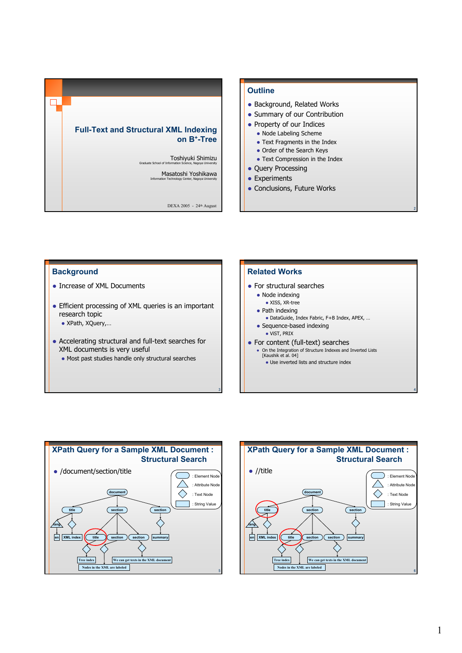# **Full-Text and Structural XML Indexing on B+-Tree** Toshiyuki Shimizu Graduate School of Information Science, Nagoya University

Masatoshi Yoshikawa Information Technology Center, Nagoya University

DEXA 2005 - 24<sup>th</sup> August

3

#### **Outline**

- Background, Related Works
- Summary of our Contribution
- Property of our Indices
	- Node Labeling Scheme
	- Text Fragments in the Index
	- Order of the Search Keys
	- Text Compression in the Index
- Query Processing
- Experiments
- Conclusions, Future Works

#### **Background**

- Increase of XML Documents
- Efficient processing of XML queries is an important research topic
	- XPath, XQuery,...
- Accelerating structural and full-text searches for XML documents is very useful
	- $\bullet$  Most past studies handle only structural searches

# **Related Works**  $\bullet$  For structural searches  $\bullet$  Node indexing • XISS, XR-tree  $\bullet$  Path indexing z DataGuide, Index Fabric, F+B Index, APEX, … • Sequence-based indexing • ViST, PRIX  $\bullet$  For content (full-text) searches • On the Integration of Structure Indexes and Inverted Lists [Kaushik et al. 04]  $\bullet$  Use inverted lists and structure index

4



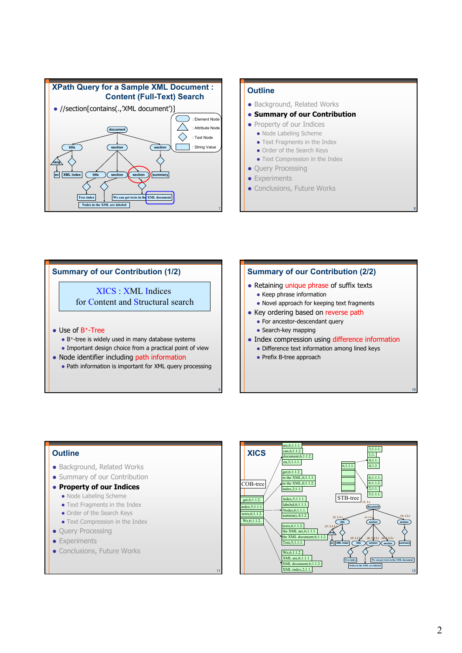# **XPath Query for a Sample XML Document : Content (Full-Text) Search**



# **Outline**

- Background, Related Works
- **Summary of our Contribution**
- Property of our Indices
	- Node Labeling Scheme
	- Text Fragments in the Index
	- Order of the Search Keys
	- Text Compression in the Index
- Query Processing
- $\bullet$  Experiments
- Conclusions, Future Works

# **Summary of our Contribution (1/2)**

XICS : XML Indices for Content and Structural search

#### $\bullet$  Use of B<sup>+</sup>-Tree

- $\bullet$  B<sup>+</sup>-tree is widely used in many database systems
- $\bullet$  Important design choice from a practical point of view

#### • Node identifier including path information

• Path information is important for XML query processing

# **Summary of our Contribution (2/2)**

8

10

- Retaining unique phrase of suffix texts  $\bullet$  Keep phrase information
	- Novel approach for keeping text fragments
- Key ordering based on reverse path
	- For ancestor-descendant query
	- $\bullet$  Search-key mapping
- Index compression using difference information
	- Difference text information among lined keys
	- $\bullet$  Prefix B-tree approach

9

11

- Background, Related Works
- Summary of our Contribution
- **Property of our Indices** 
	- Node Labeling Scheme
	- Text Fragments in the Index
	- Order of the Search Keys
	- Text Compression in the Index
- Query Processing
- Experiments
- Conclusions, Future Works

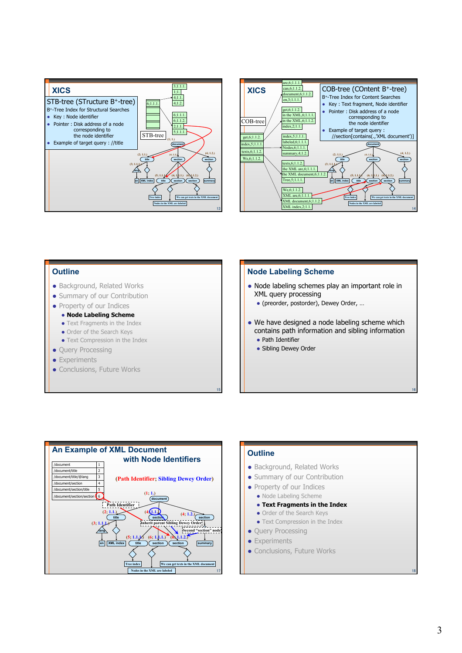



#### **Outline**

- · Background, Related Works
- Summary of our Contribution
- Property of our Indices
	- Node Labeling Scheme
	- Text Fragments in the Index
	- Order of the Search Keys
	- Text Compression in the Index
- Query Processing
- $\bullet$  Experiments
- Conclusions, Future Works

#### **Node Labeling Scheme**

- Node labeling schemes play an important role in XML query processing
	- (preorder, postorder), Dewey Order, ...
- We have designed a node labeling scheme which contains path information and sibling information
	- Path Identifier
	- Sibling Dewey Order



- Background, Related Works
- Summary of our Contribution
- Property of our Indices
	- · Node Labeling Scheme
	- Text Fragments in the Index
	- Order of the Search Keys
	- Text Compression in the Index
- Query Processing
- Experiments
- Conclusions, Future Works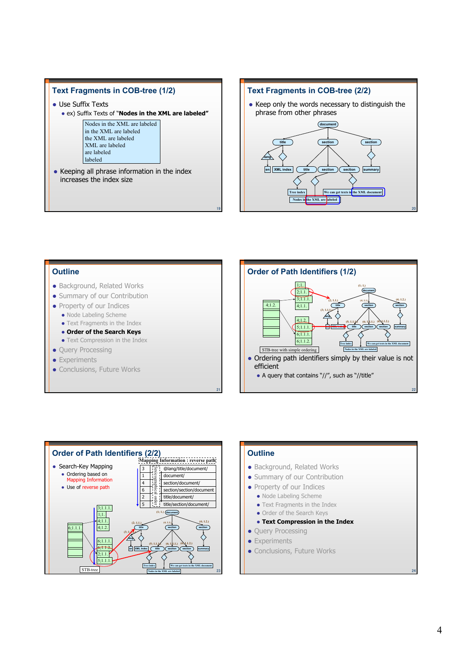#### **Text Fragments in COB-tree (1/2)**

- Use Suffix Texts
	- ex) Suffix Texts of "**Nodes in the XML are labeled"**

Nodes in the XML are labeled in the XML are labeled the XML are labeled XML are labeled are labeled labeled

 $\bullet$  Keeping all phrase information in the index increases the index size

#### **Text Fragments in COB-tree (2/2)**

 $\bullet$  Keep only the words necessary to distinguish the phrase from other phrases





19



- Background, Related Works
- Summary of our Contribution
- Property of our Indices
	- Node Labeling Scheme
	- Text Fragments in the Index
	- Order of the Search Keys
	- **Text Compression in the Index**
- Query Processing
- $\bullet$  Experiments
- Conclusions, Future Works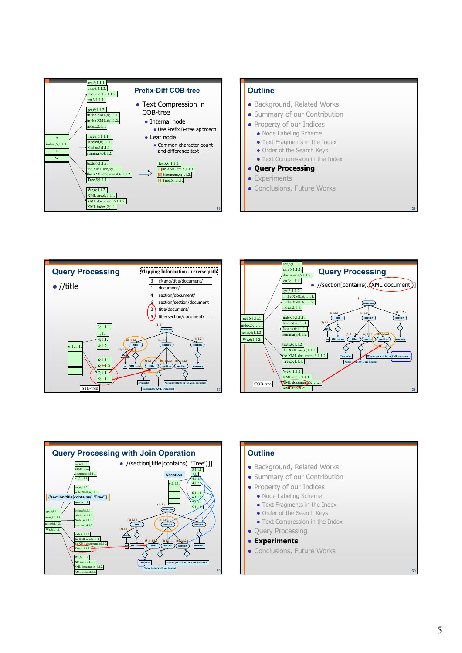

#### **Outline**

- · Background, Related Works
- Summary of our Contribution
- Property of our Indices
	- · Node Labeling Scheme
	- Text Fragments in the Index
	- Order of the Search Keys
	- Text Compression in the Index
- Query Processing
- Experiments
- Conclusions, Future Works







- Background, Related Works
- Summary of our Contribution
- Property of our Indices
	- Node Labeling Scheme
	- Text Fragments in the Index
	- Order of the Search Keys
	- Text Compression in the Index
- Query Processing
- Experiments
- Conclusions, Future Works